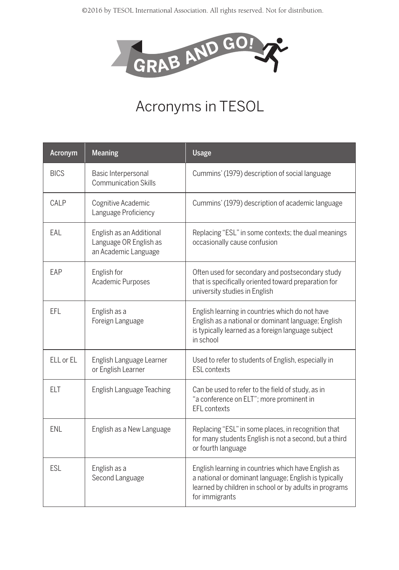

## Acronyms in TESOL

| Acronym     | <b>Meaning</b>                                                             | <b>Usage</b>                                                                                                                                                                             |
|-------------|----------------------------------------------------------------------------|------------------------------------------------------------------------------------------------------------------------------------------------------------------------------------------|
| <b>BICS</b> | Basic Interpersonal<br><b>Communication Skills</b>                         | Cummins' (1979) description of social language                                                                                                                                           |
| CALP        | Cognitive Academic<br>Language Proficiency                                 | Cummins' (1979) description of academic language                                                                                                                                         |
| EAL         | English as an Additional<br>Language OR English as<br>an Academic Language | Replacing "ESL" in some contexts; the dual meanings<br>occasionally cause confusion                                                                                                      |
| EAP         | English for<br>Academic Purposes                                           | Often used for secondary and postsecondary study<br>that is specifically oriented toward preparation for<br>university studies in English                                                |
| EFL         | English as a<br>Foreign Language                                           | English learning in countries which do not have<br>English as a national or dominant language; English<br>is typically learned as a foreign language subject<br>in school                |
| ELL or EL   | English Language Learner<br>or English Learner                             | Used to refer to students of English, especially in<br><b>ESL contexts</b>                                                                                                               |
| <b>ELT</b>  | <b>English Language Teaching</b>                                           | Can be used to refer to the field of study, as in<br>"a conference on ELT"; more prominent in<br>EFL contexts                                                                            |
| <b>ENL</b>  | English as a New Language                                                  | Replacing "ESL" in some places, in recognition that<br>for many students English is not a second, but a third<br>or fourth language                                                      |
| <b>ESL</b>  | English as a<br>Second Language                                            | English learning in countries which have English as<br>a national or dominant language; English is typically<br>learned by children in school or by adults in programs<br>for immigrants |